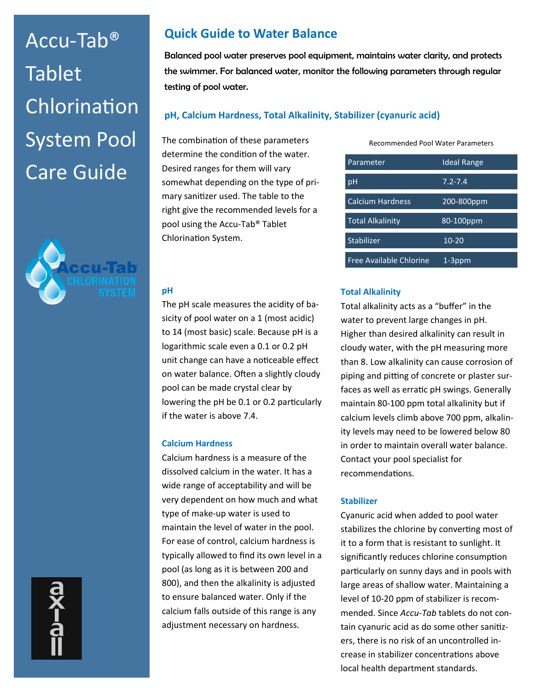# Accu-Tab® **Tablet** Chlorination System Pool Care Guide



## **Quick Guide to Water Balance**

Balanced pool water preserves pool equipment, maintains water clarity, and protects the swimmer. For balanced water, monitor the following parameters through regular testing of pool water.

## **pH, Calcium Hardness, Total Alkalinity, Stabilizer (cyanuric acid)**

The combination of these parameters determine the condition of the water. Desired ranges for them will vary somewhat depending on the type of primary sanitizer used. The table to the right give the recommended levels for a pool using the Accu-Tab® Tablet Chlorination System.

Recommended Pool Water Parameters

| Parameter               | <b>Ideal Range</b> |
|-------------------------|--------------------|
| рH                      | $7.2 - 7.4$        |
| <b>Calcium Hardness</b> | 200-800ppm         |
| <b>Total Alkalinity</b> | 80-100ppm          |
| Stabilizer              | $10 - 20$          |
| Free Available Chlorine | 1-3ppm             |

#### **pH**

The pH scale measures the acidity of basicity of pool water on a 1 (most acidic) to 14 (most basic) scale. Because pH is a logarithmic scale even a 0.1 or 0.2 pH unit change can have a noticeable effect on water balance. Often a slightly cloudy pool can be made crystal clear by lowering the pH be 0.1 or 0.2 particularly if the water is above 7.4.

## **Calcium Hardness**

Calcium hardness is a measure of the dissolved calcium in the water. It has a wide range of acceptability and will be very dependent on how much and what type of make-up water is used to maintain the level of water in the pool. For ease of control, calcium hardness is typically allowed to find its own level in a pool (as long as it is between 200 and 800), and then the alkalinity is adjusted to ensure balanced water. Only if the calcium falls outside of this range is any adjustment necessary on hardness.

## **Total Alkalinity**

Total alkalinity acts as a "buffer" in the water to prevent large changes in pH. Higher than desired alkalinity can result in cloudy water, with the pH measuring more than 8. Low alkalinity can cause corrosion of piping and pitting of concrete or plaster surfaces as well as erratic pH swings. Generally maintain 80-100 ppm total alkalinity but if calcium levels climb above 700 ppm, alkalinity levels may need to be lowered below 80 in order to maintain overall water balance. Contact your pool specialist for recommendations.

## **Stabilizer**

Cyanuric acid when added to pool water stabilizes the chlorine by converting most of it to a form that is resistant to sunlight. It significantly reduces chlorine consumption particularly on sunny days and in pools with large areas of shallow water. Maintaining a level of 10-20 ppm of stabilizer is recommended. Since *Accu-Tab* tablets do not contain cyanuric acid as do some other sanitizers, there is no risk of an uncontrolled increase in stabilizer concentrations above local health department standards.